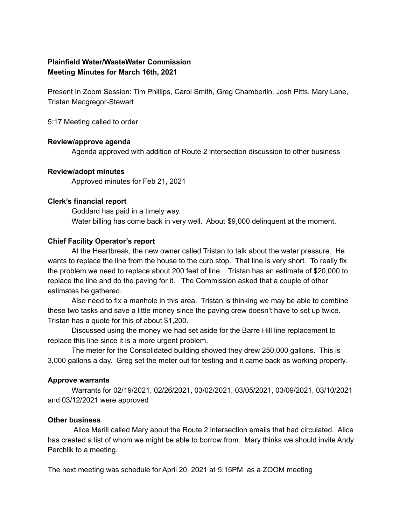# **Plainfield Water/WasteWater Commission Meeting Minutes for March 16th, 2021**

Present In Zoom Session: Tim Phillips, Carol Smith, Greg Chamberlin, Josh Pitts, Mary Lane, Tristan Macgregor-Stewart

5:17 Meeting called to order

### **Review/approve agenda**

Agenda approved with addition of Route 2 intersection discussion to other business

### **Review/adopt minutes**

Approved minutes for Feb 21, 2021

### **Clerk's financial report**

Goddard has paid in a timely way. Water billing has come back in very well. About \$9,000 delinquent at the moment.

### **Chief Facility Operator's report**

At the Heartbreak, the new owner called Tristan to talk about the water pressure. He wants to replace the line from the house to the curb stop. That line is very short. To really fix the problem we need to replace about 200 feet of line. Tristan has an estimate of \$20,000 to replace the line and do the paving for it. The Commission asked that a couple of other estimates be gathered.

Also need to fix a manhole in this area. Tristan is thinking we may be able to combine these two tasks and save a little money since the paving crew doesn't have to set up twice. Tristan has a quote for this of about \$1,200.

Discussed using the money we had set aside for the Barre Hill line replacement to replace this line since it is a more urgent problem.

The meter for the Consolidated building showed they drew 250,000 gallons. This is 3,000 gallons a day. Greg set the meter out for testing and it came back as working properly.

## **Approve warrants**

Warrants for 02/19/2021, 02/26/2021, 03/02/2021, 03/05/2021, 03/09/2021, 03/10/2021 and 03/12/2021 were approved

#### **Other business**

Alice Merill called Mary about the Route 2 intersection emails that had circulated. Alice has created a list of whom we might be able to borrow from. Mary thinks we should invite Andy Perchlik to a meeting.

The next meeting was schedule for April 20, 2021 at 5:15PM as a ZOOM meeting